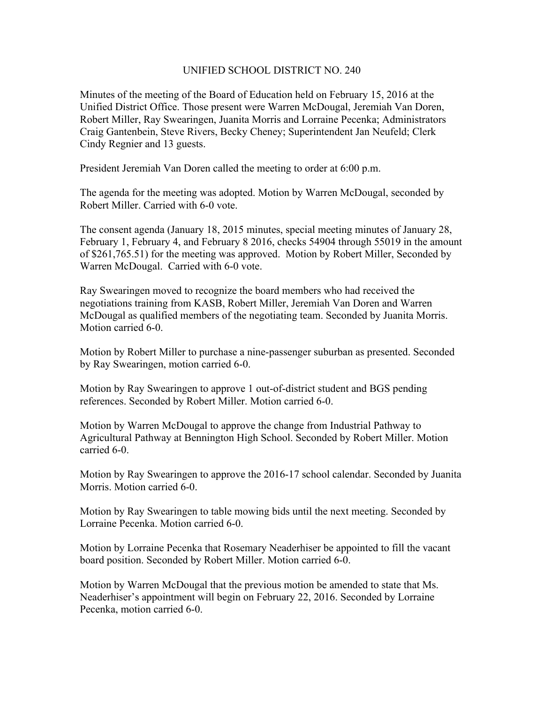## UNIFIED SCHOOL DISTRICT NO. 240

Minutes of the meeting of the Board of Education held on February 15, 2016 at the Unified District Office. Those present were Warren McDougal, Jeremiah Van Doren, Robert Miller, Ray Swearingen, Juanita Morris and Lorraine Pecenka; Administrators Craig Gantenbein, Steve Rivers, Becky Cheney; Superintendent Jan Neufeld; Clerk Cindy Regnier and 13 guests.

President Jeremiah Van Doren called the meeting to order at 6:00 p.m.

The agenda for the meeting was adopted. Motion by Warren McDougal, seconded by Robert Miller. Carried with 6-0 vote.

The consent agenda (January 18, 2015 minutes, special meeting minutes of January 28, February 1, February 4, and February 8 2016, checks 54904 through 55019 in the amount of \$261,765.51) for the meeting was approved. Motion by Robert Miller, Seconded by Warren McDougal. Carried with 6-0 vote.

Ray Swearingen moved to recognize the board members who had received the negotiations training from KASB, Robert Miller, Jeremiah Van Doren and Warren McDougal as qualified members of the negotiating team. Seconded by Juanita Morris. Motion carried 6-0.

Motion by Robert Miller to purchase a nine-passenger suburban as presented. Seconded by Ray Swearingen, motion carried 6-0.

Motion by Ray Swearingen to approve 1 out-of-district student and BGS pending references. Seconded by Robert Miller. Motion carried 6-0.

Motion by Warren McDougal to approve the change from Industrial Pathway to Agricultural Pathway at Bennington High School. Seconded by Robert Miller. Motion carried 6-0.

Motion by Ray Swearingen to approve the 2016-17 school calendar. Seconded by Juanita Morris. Motion carried 6-0.

Motion by Ray Swearingen to table mowing bids until the next meeting. Seconded by Lorraine Pecenka. Motion carried 6-0.

Motion by Lorraine Pecenka that Rosemary Neaderhiser be appointed to fill the vacant board position. Seconded by Robert Miller. Motion carried 6-0.

Motion by Warren McDougal that the previous motion be amended to state that Ms. Neaderhiser's appointment will begin on February 22, 2016. Seconded by Lorraine Pecenka, motion carried 6-0.